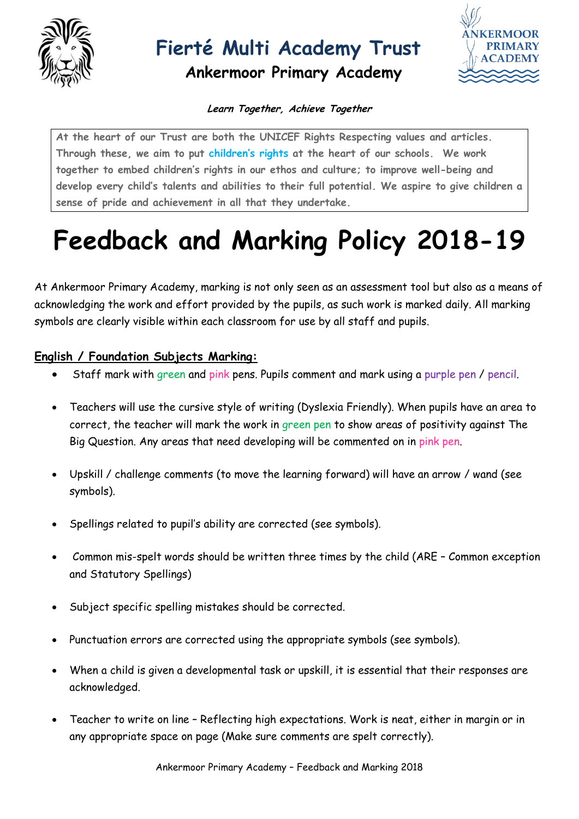

## **Fierté Multi Academy Trust**

**Ankermoor Primary Academy**



#### **Learn Together, Achieve Together**

**At the heart of our Trust are both the UNICEF Rights Respecting values and articles. Through these, we aim to put [children's rights](http://www.unicef.org.uk/rights-respecting-schools/about-the-award/child-rights-in-schools/) at the heart of our schools. We work together to embed children's rights in our ethos and culture; to improve well-being and develop every child's talents and abilities to their full potential. We aspire to give children a sense of pride and achievement in all that they undertake.**

# **Feedback and Marking Policy 2018-19**

At Ankermoor Primary Academy, marking is not only seen as an assessment tool but also as a means of acknowledging the work and effort provided by the pupils, as such work is marked daily. All marking symbols are clearly visible within each classroom for use by all staff and pupils.

#### **English / Foundation Subjects Marking:**

- Staff mark with green and pink pens. Pupils comment and mark using a purple pen / pencil.
- Teachers will use the cursive style of writing (Dyslexia Friendly). When pupils have an area to correct, the teacher will mark the work in green pen to show areas of positivity against The Big Question. Any areas that need developing will be commented on in pink pen.
- Upskill / challenge comments (to move the learning forward) will have an arrow / wand (see symbols).
- Spellings related to pupil's ability are corrected (see symbols).
- Common mis-spelt words should be written three times by the child (ARE Common exception and Statutory Spellings)
- Subject specific spelling mistakes should be corrected.
- Punctuation errors are corrected using the appropriate symbols (see symbols).
- When a child is given a developmental task or upskill, it is essential that their responses are acknowledged.
- Teacher to write on line Reflecting high expectations. Work is neat, either in margin or in any appropriate space on page (Make sure comments are spelt correctly).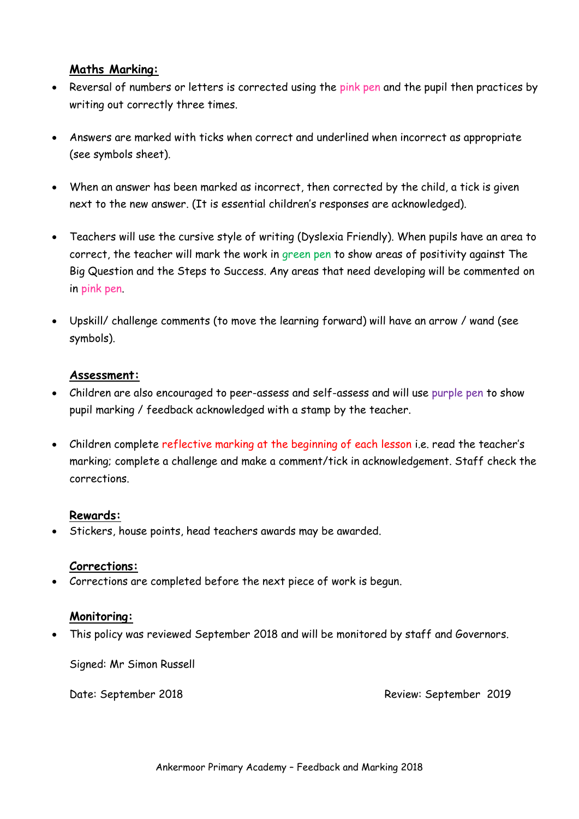#### **Maths Marking:**

- Reversal of numbers or letters is corrected using the pink pen and the pupil then practices by writing out correctly three times.
- Answers are marked with ticks when correct and underlined when incorrect as appropriate (see symbols sheet).
- When an answer has been marked as incorrect, then corrected by the child, a tick is given next to the new answer. (It is essential children's responses are acknowledged).
- Teachers will use the cursive style of writing (Dyslexia Friendly). When pupils have an area to correct, the teacher will mark the work in green pen to show areas of positivity against The Big Question and the Steps to Success. Any areas that need developing will be commented on in pink pen.
- Upskill/ challenge comments (to move the learning forward) will have an arrow / wand (see symbols).

#### **Assessment:**

- Children are also encouraged to peer-assess and self-assess and will use purple pen to show pupil marking / feedback acknowledged with a stamp by the teacher.
- Children complete reflective marking at the beginning of each lesson i.e. read the teacher's marking; complete a challenge and make a comment/tick in acknowledgement. Staff check the corrections.

#### **Rewards:**

Stickers, house points, head teachers awards may be awarded.

#### **Corrections:**

Corrections are completed before the next piece of work is begun.

#### **Monitoring:**

This policy was reviewed September 2018 and will be monitored by staff and Governors.

Signed: Mr Simon Russell

Date: September 2018 Review: September 2019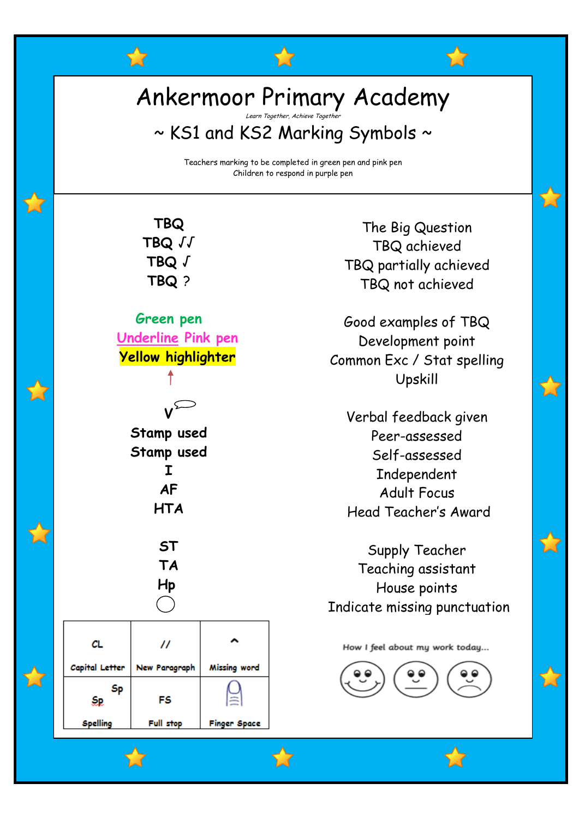